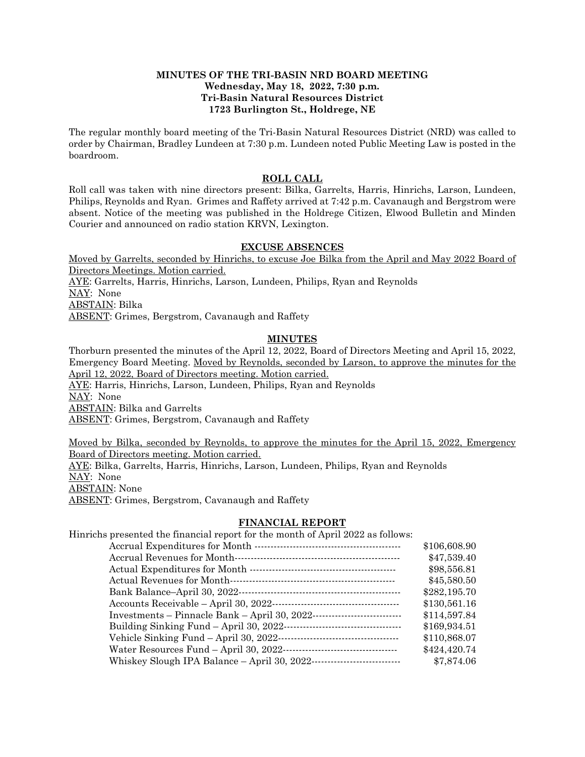### **MINUTES OF THE TRI-BASIN NRD BOARD MEETING Wednesday, May 18, 2022, 7:30 p.m. Tri-Basin Natural Resources District 1723 Burlington St., Holdrege, NE**

The regular monthly board meeting of the Tri-Basin Natural Resources District (NRD) was called to order by Chairman, Bradley Lundeen at 7:30 p.m. Lundeen noted Public Meeting Law is posted in the boardroom.

### **ROLL CALL**

Roll call was taken with nine directors present: Bilka, Garrelts, Harris, Hinrichs, Larson, Lundeen, Philips, Reynolds and Ryan. Grimes and Raffety arrived at 7:42 p.m. Cavanaugh and Bergstrom were absent. Notice of the meeting was published in the Holdrege Citizen, Elwood Bulletin and Minden Courier and announced on radio station KRVN, Lexington.

### **EXCUSE ABSENCES**

Moved by Garrelts, seconded by Hinrichs, to excuse Joe Bilka from the April and May 2022 Board of Directors Meetings. Motion carried. AYE: Garrelts, Harris, Hinrichs, Larson, Lundeen, Philips, Ryan and Reynolds NAY: None ABSTAIN: Bilka ABSENT: Grimes, Bergstrom, Cavanaugh and Raffety

# **MINUTES**

Thorburn presented the minutes of the April 12, 2022, Board of Directors Meeting and April 15, 2022, Emergency Board Meeting. Moved by Reynolds, seconded by Larson, to approve the minutes for the April 12, 2022, Board of Directors meeting. Motion carried. AYE: Harris, Hinrichs, Larson, Lundeen, Philips, Ryan and Reynolds NAY: None ABSTAIN: Bilka and Garrelts ABSENT: Grimes, Bergstrom, Cavanaugh and Raffety

Moved by Bilka, seconded by Reynolds, to approve the minutes for the April 15, 2022, Emergency Board of Directors meeting. Motion carried. AYE: Bilka, Garrelts, Harris, Hinrichs, Larson, Lundeen, Philips, Ryan and Reynolds NAY: None ABSTAIN: None ABSENT: Grimes, Bergstrom, Cavanaugh and Raffety

# **FINANCIAL REPORT**

Hinrichs presented the financial report for the month of April 2022 as follows: Accrual Expenditures for Month ---------------------------------------------- \$106,608.90 Accrual Revenues for Month---------------------------------------------------- \$47,539.40 Actual Expenditures for Month ---------------------------------------------- \$98,556.81 Actual Revenues for Month---------------------------------------------------- \$45,580.50 Bank Balance–April 30, 2022--------------------------------------------------- \$282,195.70 Accounts Receivable – April 30, 2022---------------------------------------- \$130,561.16 Investments – Pinnacle Bank – April 30, 2022---------------------------- \$114,597.84 Building Sinking Fund – April 30, 2022------------------------------------- \$169,934.51 Vehicle Sinking Fund – April 30, 2022-------------------------------------- \$110,868.07 Water Resources Fund – April 30, 2022------------------------------------ \$424,420.74 Whiskey Slough IPA Balance – April 30, 2022---------------------------- \$7,874.06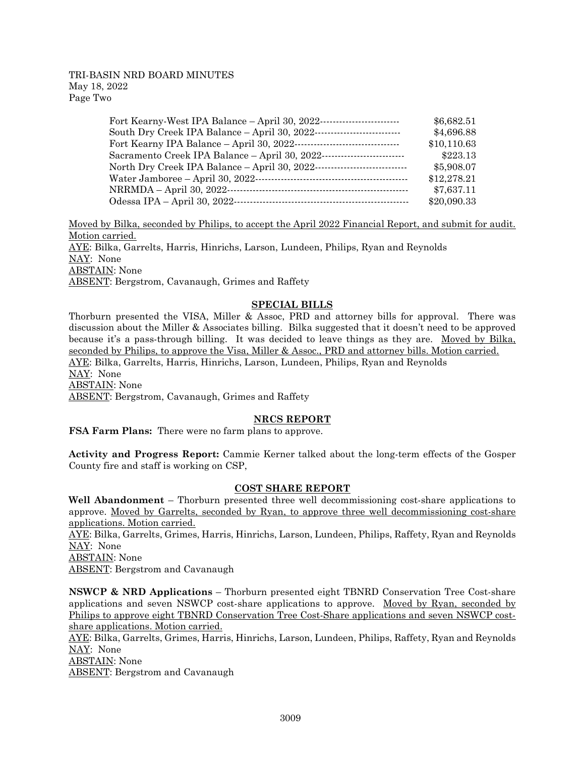### TRI-BASIN NRD BOARD MINUTES May 18, 2022 Page Two

| Fort Kearny-West IPA Balance - April 30, 2022--                          | \$6,682.51  |
|--------------------------------------------------------------------------|-------------|
| South Dry Creek IPA Balance - April 30, 2022-<br>---------------------   | \$4,696.88  |
| Fort Kearny IPA Balance - April 30, 2022-<br>----------------------      | \$10,110.63 |
| Sacramento Creek IPA Balance - April 30, 2022-                           | \$223.13    |
| North Dry Creek IPA Balance - April 30, 2022-<br>----------------------- | \$5,908.07  |
|                                                                          | \$12,278.21 |
| NRRMDA - April 30, 2022--                                                | \$7,637.11  |
| Odessa IPA - April 30, 2022-                                             | \$20,090.33 |

Moved by Bilka, seconded by Philips, to accept the April 2022 Financial Report, and submit for audit. Motion carried. AYE: Bilka, Garrelts, Harris, Hinrichs, Larson, Lundeen, Philips, Ryan and Reynolds NAY: None ABSTAIN: None ABSENT: Bergstrom, Cavanaugh, Grimes and Raffety

# **SPECIAL BILLS**

Thorburn presented the VISA, Miller & Assoc, PRD and attorney bills for approval. There was discussion about the Miller & Associates billing. Bilka suggested that it doesn't need to be approved because it's a pass-through billing. It was decided to leave things as they are. Moved by Bilka, seconded by Philips, to approve the Visa, Miller & Assoc., PRD and attorney bills. Motion carried. AYE: Bilka, Garrelts, Harris, Hinrichs, Larson, Lundeen, Philips, Ryan and Reynolds NAY: None ABSTAIN: None ABSENT: Bergstrom, Cavanaugh, Grimes and Raffety

# **NRCS REPORT**

**FSA Farm Plans:** There were no farm plans to approve.

**Activity and Progress Report:** Cammie Kerner talked about the long-term effects of the Gosper County fire and staff is working on CSP,

### **COST SHARE REPORT**

**Well Abandonment** – Thorburn presented three well decommissioning cost-share applications to approve. Moved by Garrelts, seconded by Ryan, to approve three well decommissioning cost-share applications. Motion carried.

AYE: Bilka, Garrelts, Grimes, Harris, Hinrichs, Larson, Lundeen, Philips, Raffety, Ryan and Reynolds NAY: None

ABSTAIN: None

ABSENT: Bergstrom and Cavanaugh

**NSWCP & NRD Applications** – Thorburn presented eight TBNRD Conservation Tree Cost-share applications and seven NSWCP cost-share applications to approve. Moved by Ryan, seconded by Philips to approve eight TBNRD Conservation Tree Cost-Share applications and seven NSWCP costshare applications. Motion carried.

AYE: Bilka, Garrelts, Grimes, Harris, Hinrichs, Larson, Lundeen, Philips, Raffety, Ryan and Reynolds NAY: None

ABSTAIN: None

ABSENT: Bergstrom and Cavanaugh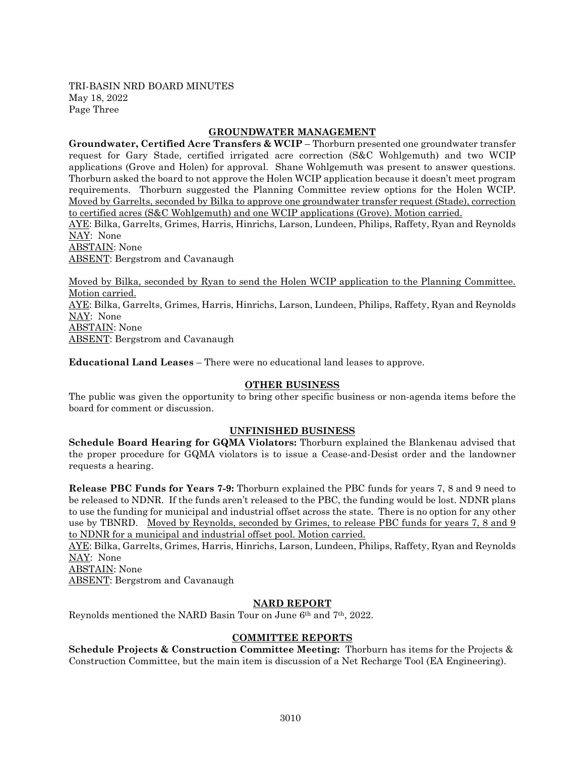TRI-BASIN NRD BOARD MINUTES May 18, 2022 Page Three

### **GROUNDWATER MANAGEMENT**

**Groundwater, Certified Acre Transfers & WCIP** – Thorburn presented one groundwater transfer request for Gary Stade, certified irrigated acre correction (S&C Wohlgemuth) and two WCIP applications (Grove and Holen) for approval. Shane Wohlgemuth was present to answer questions. Thorburn asked the board to not approve the Holen WCIP application because it doesn't meet program requirements. Thorburn suggested the Planning Committee review options for the Holen WCIP. Moved by Garrelts, seconded by Bilka to approve one groundwater transfer request (Stade), correction to certified acres (S&C Wohlgemuth) and one WCIP applications (Grove). Motion carried.

AYE: Bilka, Garrelts, Grimes, Harris, Hinrichs, Larson, Lundeen, Philips, Raffety, Ryan and Reynolds NAY: None

ABSTAIN: None ABSENT: Bergstrom and Cavanaugh

Moved by Bilka, seconded by Ryan to send the Holen WCIP application to the Planning Committee. Motion carried. AYE: Bilka, Garrelts, Grimes, Harris, Hinrichs, Larson, Lundeen, Philips, Raffety, Ryan and Reynolds NAY: None ABSTAIN: None ABSENT: Bergstrom and Cavanaugh

**Educational Land Leases** – There were no educational land leases to approve.

### **OTHER BUSINESS**

The public was given the opportunity to bring other specific business or non-agenda items before the board for comment or discussion.

# **UNFINISHED BUSINESS**

**Schedule Board Hearing for GQMA Violators:** Thorburn explained the Blankenau advised that the proper procedure for GQMA violators is to issue a Cease-and-Desist order and the landowner requests a hearing.

**Release PBC Funds for Years 7-9:** Thorburn explained the PBC funds for years 7, 8 and 9 need to be released to NDNR. If the funds aren't released to the PBC, the funding would be lost. NDNR plans to use the funding for municipal and industrial offset across the state. There is no option for any other use by TBNRD. Moved by Reynolds, seconded by Grimes, to release PBC funds for years 7, 8 and 9 to NDNR for a municipal and industrial offset pool. Motion carried.

AYE: Bilka, Garrelts, Grimes, Harris, Hinrichs, Larson, Lundeen, Philips, Raffety, Ryan and Reynolds NAY: None

ABSTAIN: None

ABSENT: Bergstrom and Cavanaugh

# **NARD REPORT**

Reynolds mentioned the NARD Basin Tour on June 6th and 7th, 2022.

# **COMMITTEE REPORTS**

**Schedule Projects & Construction Committee Meeting:** Thorburn has items for the Projects & Construction Committee, but the main item is discussion of a Net Recharge Tool (EA Engineering).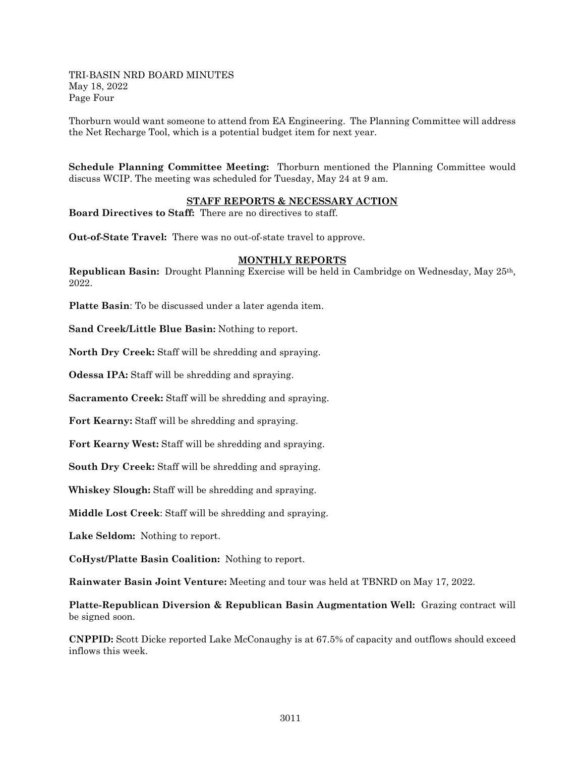TRI-BASIN NRD BOARD MINUTES May 18, 2022 Page Four

Thorburn would want someone to attend from EA Engineering. The Planning Committee will address the Net Recharge Tool, which is a potential budget item for next year.

**Schedule Planning Committee Meeting:** Thorburn mentioned the Planning Committee would discuss WCIP. The meeting was scheduled for Tuesday, May 24 at 9 am.

#### **STAFF REPORTS & NECESSARY ACTION**

**Board Directives to Staff:** There are no directives to staff.

**Out-of-State Travel:** There was no out-of-state travel to approve.

#### **MONTHLY REPORTS**

**Republican Basin:** Drought Planning Exercise will be held in Cambridge on Wednesday, May 25th, 2022.

**Platte Basin**: To be discussed under a later agenda item.

**Sand Creek/Little Blue Basin:** Nothing to report.

**North Dry Creek:** Staff will be shredding and spraying.

**Odessa IPA:** Staff will be shredding and spraying.

**Sacramento Creek:** Staff will be shredding and spraying.

**Fort Kearny:** Staff will be shredding and spraying.

**Fort Kearny West:** Staff will be shredding and spraying.

**South Dry Creek:** Staff will be shredding and spraying.

**Whiskey Slough:** Staff will be shredding and spraying.

**Middle Lost Creek**: Staff will be shredding and spraying.

**Lake Seldom:** Nothing to report.

**CoHyst/Platte Basin Coalition:** Nothing to report.

**Rainwater Basin Joint Venture:** Meeting and tour was held at TBNRD on May 17, 2022.

**Platte-Republican Diversion & Republican Basin Augmentation Well:** Grazing contract will be signed soon.

**CNPPID:** Scott Dicke reported Lake McConaughy is at 67.5% of capacity and outflows should exceed inflows this week.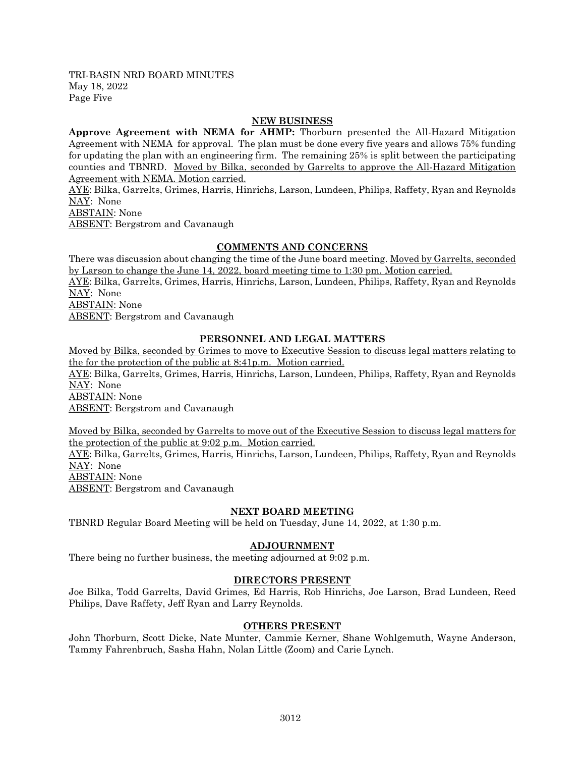TRI-BASIN NRD BOARD MINUTES May 18, 2022 Page Five

### **NEW BUSINESS**

**Approve Agreement with NEMA for AHMP:** Thorburn presented the All-Hazard Mitigation Agreement with NEMA for approval. The plan must be done every five years and allows 75% funding for updating the plan with an engineering firm. The remaining 25% is split between the participating counties and TBNRD. Moved by Bilka, seconded by Garrelts to approve the All-Hazard Mitigation Agreement with NEMA. Motion carried.

AYE: Bilka, Garrelts, Grimes, Harris, Hinrichs, Larson, Lundeen, Philips, Raffety, Ryan and Reynolds NAY: None

ABSTAIN: None

ABSENT: Bergstrom and Cavanaugh

### **COMMENTS AND CONCERNS**

There was discussion about changing the time of the June board meeting. Moved by Garrelts, seconded by Larson to change the June 14, 2022, board meeting time to 1:30 pm. Motion carried. AYE: Bilka, Garrelts, Grimes, Harris, Hinrichs, Larson, Lundeen, Philips, Raffety, Ryan and Reynolds NAY: None

ABSTAIN: None

ABSENT: Bergstrom and Cavanaugh

### **PERSONNEL AND LEGAL MATTERS**

Moved by Bilka, seconded by Grimes to move to Executive Session to discuss legal matters relating to the for the protection of the public at 8:41p.m. Motion carried.

AYE: Bilka, Garrelts, Grimes, Harris, Hinrichs, Larson, Lundeen, Philips, Raffety, Ryan and Reynolds NAY: None

ABSTAIN: None

ABSENT: Bergstrom and Cavanaugh

Moved by Bilka, seconded by Garrelts to move out of the Executive Session to discuss legal matters for the protection of the public at 9:02 p.m. Motion carried.

AYE: Bilka, Garrelts, Grimes, Harris, Hinrichs, Larson, Lundeen, Philips, Raffety, Ryan and Reynolds NAY: None

ABSTAIN: None

ABSENT: Bergstrom and Cavanaugh

### **NEXT BOARD MEETING**

TBNRD Regular Board Meeting will be held on Tuesday, June 14, 2022, at 1:30 p.m.

### **ADJOURNMENT**

There being no further business, the meeting adjourned at 9:02 p.m.

### **DIRECTORS PRESENT**

Joe Bilka, Todd Garrelts, David Grimes, Ed Harris, Rob Hinrichs, Joe Larson, Brad Lundeen, Reed Philips, Dave Raffety, Jeff Ryan and Larry Reynolds.

### **OTHERS PRESENT**

John Thorburn, Scott Dicke, Nate Munter, Cammie Kerner, Shane Wohlgemuth, Wayne Anderson, Tammy Fahrenbruch, Sasha Hahn, Nolan Little (Zoom) and Carie Lynch.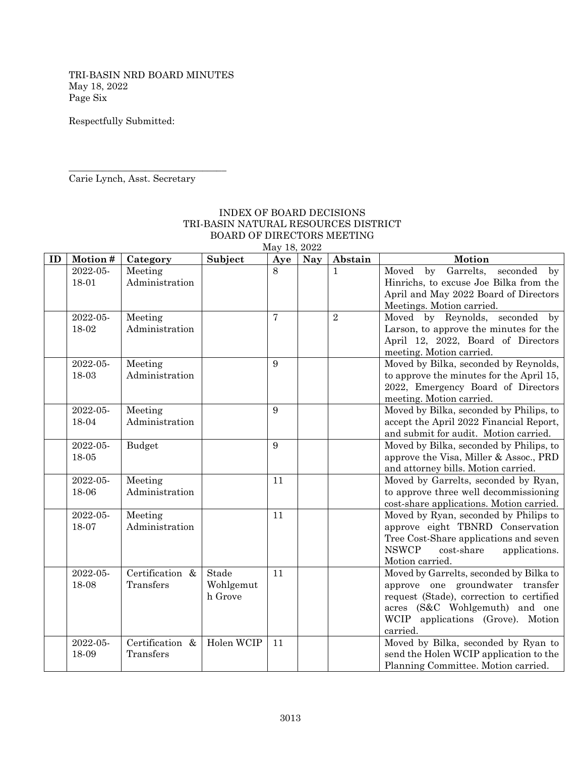TRI-BASIN NRD BOARD MINUTES May 18, 2022 Page Six

Respectfully Submitted:

Carie Lynch, Asst. Secretary

\_\_\_\_\_\_\_\_\_\_\_\_\_\_\_\_\_\_\_\_\_\_\_\_\_\_\_\_\_\_\_\_\_

### INDEX OF BOARD DECISIONS TRI-BASIN NATURAL RESOURCES DISTRICT BOARD OF DIRECTORS MEETING May 18, 2022

| ID | Motion#           | Category                  | Subject    | Aye            | <b>Nay</b> | Abstain      | Motion                                                                     |
|----|-------------------|---------------------------|------------|----------------|------------|--------------|----------------------------------------------------------------------------|
|    | 2022-05-          | Meeting                   |            | 8              |            | $\mathbf{1}$ | Garrelts,<br>seconded<br>Moved<br>by<br>$_{\rm by}$                        |
|    | 18-01             | Administration            |            |                |            |              | Hinrichs, to excuse Joe Bilka from the                                     |
|    |                   |                           |            |                |            |              | April and May 2022 Board of Directors                                      |
|    |                   |                           |            |                |            |              | Meetings. Motion carried.                                                  |
|    | 2022-05-          | Meeting                   |            | $\overline{7}$ |            | $\sqrt{2}$   | Moved by Reynolds, seconded by                                             |
|    | 18-02             | Administration            |            |                |            |              | Larson, to approve the minutes for the                                     |
|    |                   |                           |            |                |            |              | April 12, 2022, Board of Directors<br>meeting. Motion carried.             |
|    | 2022-05-          | Meeting                   |            | 9              |            |              | Moved by Bilka, seconded by Reynolds,                                      |
|    | 18-03             | Administration            |            |                |            |              | to approve the minutes for the April 15,                                   |
|    |                   |                           |            |                |            |              | 2022, Emergency Board of Directors                                         |
|    |                   |                           |            |                |            |              | meeting. Motion carried.                                                   |
|    | 2022-05-          | Meeting                   |            | 9              |            |              | Moved by Bilka, seconded by Philips, to                                    |
|    | 18-04             | Administration            |            |                |            |              | accept the April 2022 Financial Report,                                    |
|    |                   |                           |            |                |            |              | and submit for audit. Motion carried.                                      |
|    | 2022-05-          | Budget                    |            | 9              |            |              | Moved by Bilka, seconded by Philips, to                                    |
|    | 18-05             |                           |            |                |            |              | approve the Visa, Miller & Assoc., PRD                                     |
|    |                   |                           |            |                |            |              | and attorney bills. Motion carried.                                        |
|    | 2022-05-          | Meeting                   |            | 11             |            |              | Moved by Garrelts, seconded by Ryan,                                       |
|    | 18-06             | Administration            |            |                |            |              | to approve three well decommissioning                                      |
|    |                   |                           |            |                |            |              | cost-share applications. Motion carried.                                   |
|    | 2022-05-<br>18-07 | Meeting<br>Administration |            | 11             |            |              | Moved by Ryan, seconded by Philips to                                      |
|    |                   |                           |            |                |            |              | approve eight TBNRD Conservation<br>Tree Cost-Share applications and seven |
|    |                   |                           |            |                |            |              | <b>NSWCP</b><br>cost-share<br>applications.                                |
|    |                   |                           |            |                |            |              | Motion carried.                                                            |
|    | 2022-05-          | Certification &           | Stade      | 11             |            |              | Moved by Garrelts, seconded by Bilka to                                    |
|    | 18-08             | Transfers                 | Wohlgemut  |                |            |              | approve one groundwater transfer                                           |
|    |                   |                           | h Grove    |                |            |              | request (Stade), correction to certified                                   |
|    |                   |                           |            |                |            |              | acres (S&C Wohlgemuth) and one                                             |
|    |                   |                           |            |                |            |              | WCIP applications (Grove). Motion                                          |
|    |                   |                           |            |                |            |              | carried.                                                                   |
|    | 2022-05-          | Certification &           | Holen WCIP | 11             |            |              | Moved by Bilka, seconded by Ryan to                                        |
|    | 18-09             | Transfers                 |            |                |            |              | send the Holen WCIP application to the                                     |
|    |                   |                           |            |                |            |              | Planning Committee. Motion carried.                                        |